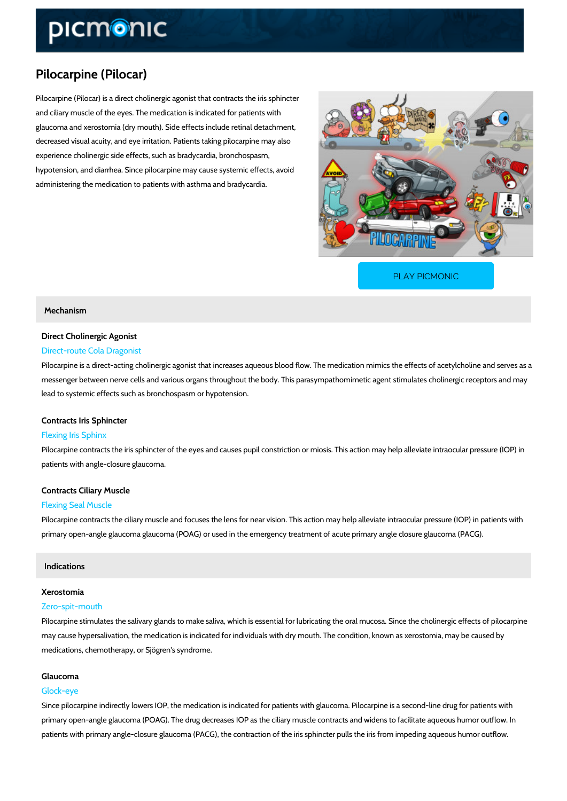## Pilocarpine (Pilocar)

Pilocarpine (Pilocar) is a direct cholinergic agonist that contracts the iris sphincter and ciliary muscle of the eyes. The medication is indicated for patients with glaucoma and xerostomia (dry mouth). Side effects include retinal detachment, decreased visual acuity, and eye irritation. Patients taking pilocarpine may also experience cholinergic side effects, such as bradycardia, bronchospasm, hypotension, and diarrhea. Since pilocarpine may cause systemic effects, avoid administering the medication to patients with asthma and bradycardia.

[PLAY PICMONIC](https://www.picmonic.com/learn/pilocarpine-pilocar_2202?utm_source=downloadable_content&utm_medium=distributedcontent&utm_campaign=pathways_pdf&utm_content=Pilocarpine (Pilocar)&utm_ad_group=leads&utm_market=all)

## Mechanism

## Direct Cholinergic Agonist

# Direct-route Cola Dragonist

Pilocarpine is a direct-acting cholinergic agonist that increases aqueous blood flow. The med messenger between nerve cells and various organs throughout the body. This parasympathomi lead to systemic effects such as bronchospasm or hypotension.

## Contracts Iris Sphincter

## Flexing Iris Sphinx

Pilocarpine contracts the iris sphincter of the eyes and causes pupil constriction or miosis. T patients with angle-closure glaucoma.

## Contracts Ciliary Muscle

## Flexing Seal Muscle

Pilocarpine contracts the ciliary muscle and focuses the lens for near vision. This action may primary open-angle glaucoma glaucoma (POAG) or used in the emergency treatment of acute p

#### Indications

### Xerostomia

#### Zero-spit-mouth

Pilocarpine stimulates the salivary glands to make saliva, which is essential for lubricating the may cause hypersalivation, the medication is indicated for individuals with dry mouth. The con medications, chemotherapy, or Sjögren's syndrome.

## Glaucoma

## Glock-eye

Since pilocarpine indirectly lowers IOP, the medication is indicated for patients with glaucoma primary open-angle glaucoma (POAG). The drug decreases IOP as the ciliary muscle contracts patients with primary angle-closure glaucoma (PACG), the contraction of the iris sphincter pu